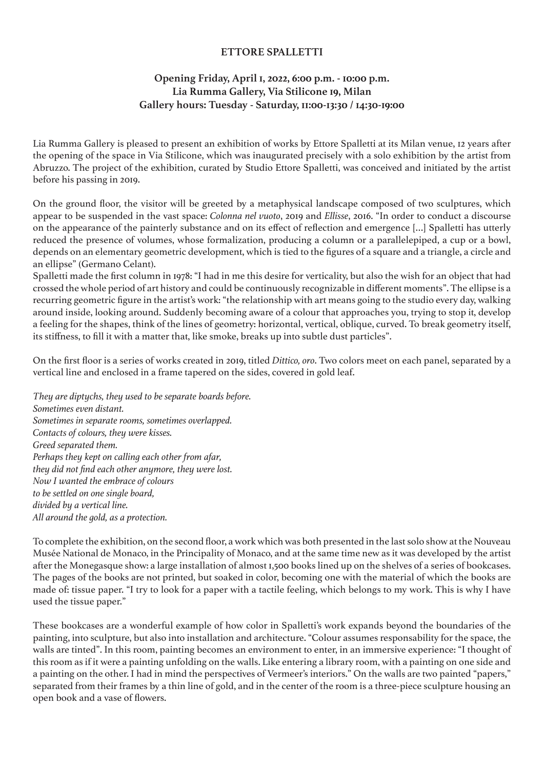## **ETTORE SPALLETTI**

## **Opening Friday, April 1, 2022, 6:00 p.m. - 10:00 p.m. Lia Rumma Gallery, Via Stilicone 19, Milan Gallery hours: Tuesday - Saturday, 11:00-13:30 / 14:30-19:00**

Lia Rumma Gallery is pleased to present an exhibition of works by Ettore Spalletti at its Milan venue, 12 years after the opening of the space in Via Stilicone, which was inaugurated precisely with a solo exhibition by the artist from Abruzzo. The project of the exhibition, curated by Studio Ettore Spalletti, was conceived and initiated by the artist before his passing in 2019.

On the ground floor, the visitor will be greeted by a metaphysical landscape composed of two sculptures, which appear to be suspended in the vast space: *Colonna nel vuoto*, 2019 and *Ellisse*, 2016. "In order to conduct a discourse on the appearance of the painterly substance and on its effect of reflection and emergence […] Spalletti has utterly reduced the presence of volumes, whose formalization, producing a column or a parallelepiped, a cup or a bowl, depends on an elementary geometric development, which is tied to the figures of a square and a triangle, a circle and an ellipse" (Germano Celant).

Spalletti made the first column in 1978: "I had in me this desire for verticality, but also the wish for an object that had crossed the whole period of art history and could be continuously recognizable in different moments". The ellipse is a recurring geometric figure in the artist's work: "the relationship with art means going to the studio every day, walking around inside, looking around. Suddenly becoming aware of a colour that approaches you, trying to stop it, develop a feeling for the shapes, think of the lines of geometry: horizontal, vertical, oblique, curved. To break geometry itself, its stiffness, to fill it with a matter that, like smoke, breaks up into subtle dust particles".

On the first floor is a series of works created in 2019, titled *Dittico, oro*. Two colors meet on each panel, separated by a vertical line and enclosed in a frame tapered on the sides, covered in gold leaf.

*They are diptychs, they used to be separate boards before. Sometimes even distant. Sometimes in separate rooms, sometimes overlapped. Contacts of colours, they were kisses. Greed separated them. Perhaps they kept on calling each other from afar, they did not find each other anymore, they were lost. Now I wanted the embrace of colours to be settled on one single board, divided by a vertical line. All around the gold, as a protection.*

To complete the exhibition, on the second floor, a work which was both presented in the last solo show at the Nouveau Musée National de Monaco, in the Principality of Monaco, and at the same time new as it was developed by the artist after the Monegasque show: a large installation of almost 1,500 books lined up on the shelves of a series of bookcases. The pages of the books are not printed, but soaked in color, becoming one with the material of which the books are made of: tissue paper. "I try to look for a paper with a tactile feeling, which belongs to my work. This is why I have used the tissue paper."

These bookcases are a wonderful example of how color in Spalletti's work expands beyond the boundaries of the painting, into sculpture, but also into installation and architecture. "Colour assumes responsability for the space, the walls are tinted". In this room, painting becomes an environment to enter, in an immersive experience: "I thought of this room as if it were a painting unfolding on the walls. Like entering a library room, with a painting on one side and a painting on the other. I had in mind the perspectives of Vermeer's interiors." On the walls are two painted "papers," separated from their frames by a thin line of gold, and in the center of the room is a three-piece sculpture housing an open book and a vase of flowers.